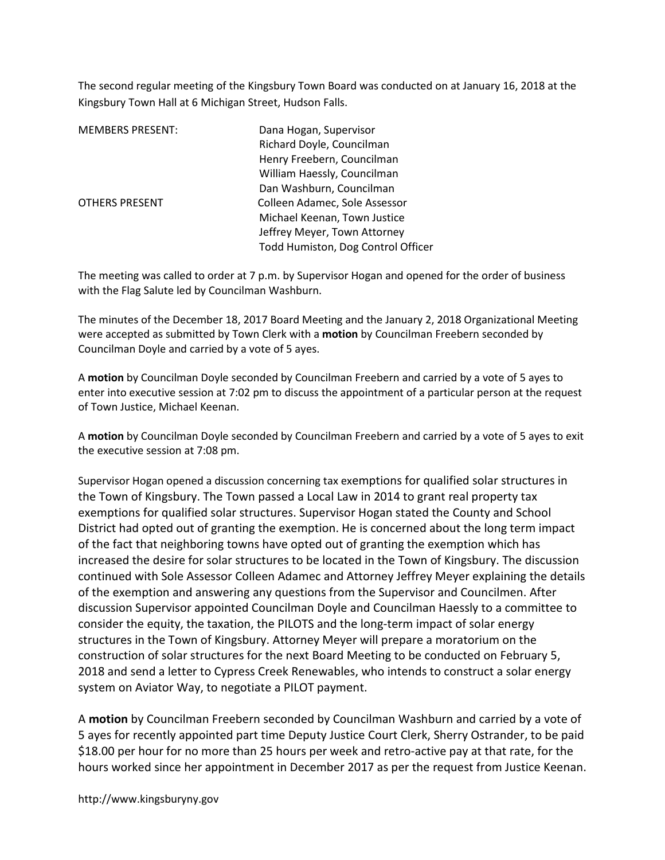The second regular meeting of the Kingsbury Town Board was conducted on at January 16, 2018 at the Kingsbury Town Hall at 6 Michigan Street, Hudson Falls.

| <b>MEMBERS PRESENT:</b> | Dana Hogan, Supervisor             |
|-------------------------|------------------------------------|
|                         | Richard Doyle, Councilman          |
|                         | Henry Freebern, Councilman         |
|                         | William Haessly, Councilman        |
|                         | Dan Washburn, Councilman           |
| <b>OTHERS PRESENT</b>   | Colleen Adamec, Sole Assessor      |
|                         | Michael Keenan, Town Justice       |
|                         | Jeffrey Meyer, Town Attorney       |
|                         | Todd Humiston, Dog Control Officer |

The meeting was called to order at 7 p.m. by Supervisor Hogan and opened for the order of business with the Flag Salute led by Councilman Washburn.

The minutes of the December 18, 2017 Board Meeting and the January 2, 2018 Organizational Meeting were accepted as submitted by Town Clerk with a **motion** by Councilman Freebern seconded by Councilman Doyle and carried by a vote of 5 ayes.

A motion by Councilman Doyle seconded by Councilman Freebern and carried by a vote of 5 ayes to enter into executive session at 7:02 pm to discuss the appointment of a particular person at the request of Town Justice, Michael Keenan.

A motion by Councilman Doyle seconded by Councilman Freebern and carried by a vote of 5 ayes to exit the executive session at 7:08 pm.

Supervisor Hogan opened a discussion concerning tax exemptions for qualified solar structures in the Town of Kingsbury. The Town passed a Local Law in 2014 to grant real property tax exemptions for qualified solar structures. Supervisor Hogan stated the County and School District had opted out of granting the exemption. He is concerned about the long term impact of the fact that neighboring towns have opted out of granting the exemption which has increased the desire for solar structures to be located in the Town of Kingsbury. The discussion continued with Sole Assessor Colleen Adamec and Attorney Jeffrey Meyer explaining the details of the exemption and answering any questions from the Supervisor and Councilmen. After discussion Supervisor appointed Councilman Doyle and Councilman Haessly to a committee to consider the equity, the taxation, the PILOTS and the long-term impact of solar energy structures in the Town of Kingsbury. Attorney Meyer will prepare a moratorium on the construction of solar structures for the next Board Meeting to be conducted on February 5, 2018 and send a letter to Cypress Creek Renewables, who intends to construct a solar energy system on Aviator Way, to negotiate a PILOT payment.

A motion by Councilman Freebern seconded by Councilman Washburn and carried by a vote of 5 ayes for recently appointed part time Deputy Justice Court Clerk, Sherry Ostrander, to be paid \$18.00 per hour for no more than 25 hours per week and retro-active pay at that rate, for the hours worked since her appointment in December 2017 as per the request from Justice Keenan.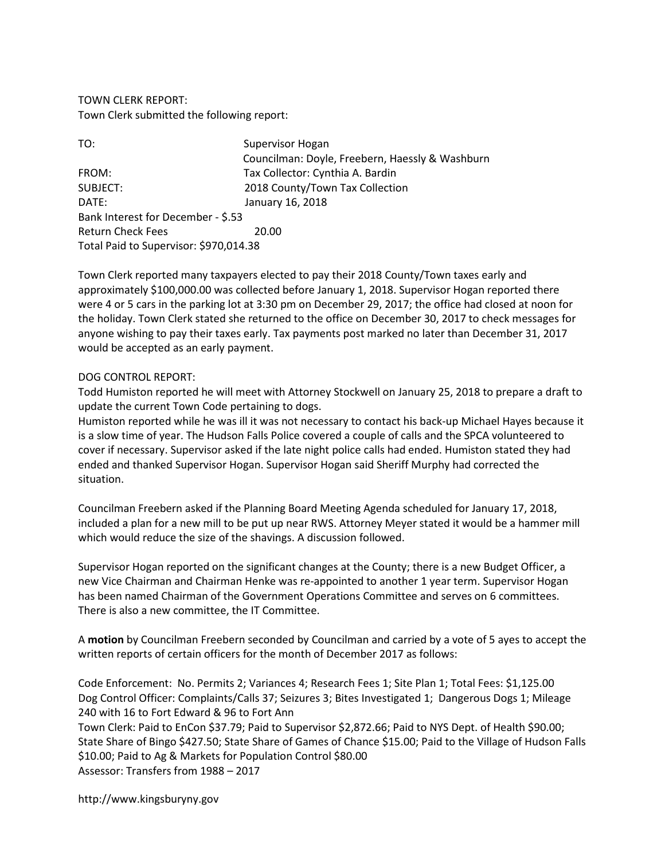TOWN CLERK REPORT: Town Clerk submitted the following report:

| TO:                                    | Supervisor Hogan                                |
|----------------------------------------|-------------------------------------------------|
|                                        | Councilman: Doyle, Freebern, Haessly & Washburn |
| FROM:                                  | Tax Collector: Cynthia A. Bardin                |
| SUBJECT:                               | 2018 County/Town Tax Collection                 |
| DATE:                                  | January 16, 2018                                |
| Bank Interest for December - \$.53     |                                                 |
| <b>Return Check Fees</b>               | 20.00                                           |
| Total Paid to Supervisor: \$970,014.38 |                                                 |

Town Clerk reported many taxpayers elected to pay their 2018 County/Town taxes early and approximately \$100,000.00 was collected before January 1, 2018. Supervisor Hogan reported there were 4 or 5 cars in the parking lot at 3:30 pm on December 29, 2017; the office had closed at noon for the holiday. Town Clerk stated she returned to the office on December 30, 2017 to check messages for anyone wishing to pay their taxes early. Tax payments post marked no later than December 31, 2017 would be accepted as an early payment.

## DOG CONTROL REPORT:

Todd Humiston reported he will meet with Attorney Stockwell on January 25, 2018 to prepare a draft to update the current Town Code pertaining to dogs.

Humiston reported while he was ill it was not necessary to contact his back-up Michael Hayes because it is a slow time of year. The Hudson Falls Police covered a couple of calls and the SPCA volunteered to cover if necessary. Supervisor asked if the late night police calls had ended. Humiston stated they had ended and thanked Supervisor Hogan. Supervisor Hogan said Sheriff Murphy had corrected the situation.

Councilman Freebern asked if the Planning Board Meeting Agenda scheduled for January 17, 2018, included a plan for a new mill to be put up near RWS. Attorney Meyer stated it would be a hammer mill which would reduce the size of the shavings. A discussion followed.

Supervisor Hogan reported on the significant changes at the County; there is a new Budget Officer, a new Vice Chairman and Chairman Henke was re-appointed to another 1 year term. Supervisor Hogan has been named Chairman of the Government Operations Committee and serves on 6 committees. There is also a new committee, the IT Committee.

A motion by Councilman Freebern seconded by Councilman and carried by a vote of 5 ayes to accept the written reports of certain officers for the month of December 2017 as follows:

Code Enforcement: No. Permits 2; Variances 4; Research Fees 1; Site Plan 1; Total Fees: \$1,125.00 Dog Control Officer: Complaints/Calls 37; Seizures 3; Bites Investigated 1; Dangerous Dogs 1; Mileage 240 with 16 to Fort Edward & 96 to Fort Ann

Town Clerk: Paid to EnCon \$37.79; Paid to Supervisor \$2,872.66; Paid to NYS Dept. of Health \$90.00; State Share of Bingo \$427.50; State Share of Games of Chance \$15.00; Paid to the Village of Hudson Falls \$10.00; Paid to Ag & Markets for Population Control \$80.00 Assessor: Transfers from 1988 – 2017

http://www.kingsburyny.gov